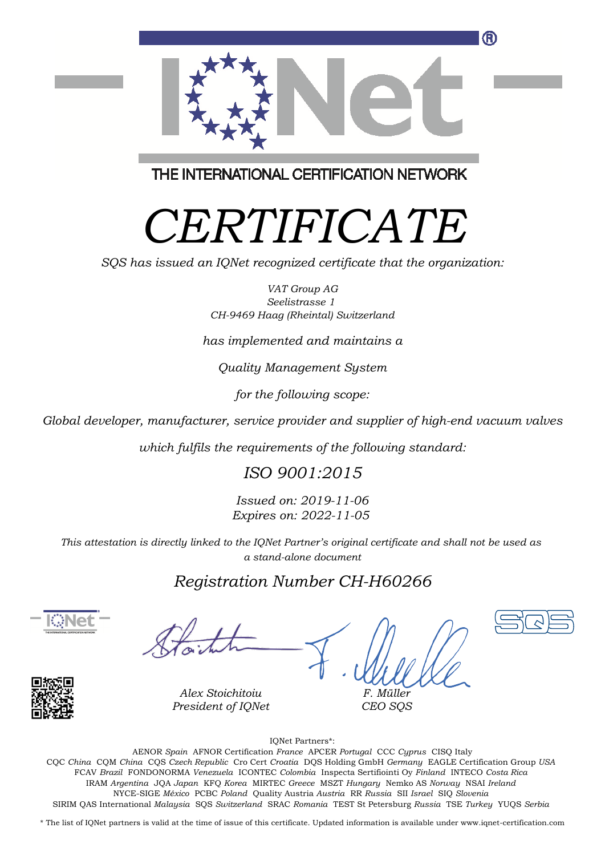

THE INTERNATIONAL CERTIFICATION NETWORK

# *CERTIFICATE*

*SQS has issued an IQNet recognized certificate that the organization:*

*VAT Group AG Seelistrasse 1 CH-9469 Haag (Rheintal) Switzerland*

*has implemented and maintains a*

*Quality Management System*

*for the following scope:*

*Global developer, manufacturer, service provider and supplier of high-end vacuum valves*

*which fulfils the requirements of the following standard:*

# *ISO 9001:2015*

*Issued on: 2019-11-06 Expires on: 2022-11-05*

*This attestation is directly linked to the IQNet Partner's original certificate and shall not be used as a stand-alone document*

# *Registration Number CH-H60266*



*F. Müller*



*Alex Stoichitoiu President of IQNet*

*CEO SQS*

IQNet Partners\*:

This annex is only valid in connection with the above-mentioned certificate. FCAV *Brazil* FONDONORMA *Venezuela* ICONTEC *Colombia* Inspecta Sertifiointi Oy *Finland* INTECO *Costa Rica* AENOR *Spain* AFNOR Certification *France* APCER *Portugal* CCC *Cyprus* CISQ Italy CQC *China* CQM *China* CQS *Czech Republic* Cro Cert *Croatia* DQS Holding GmbH *Germany* EAGLE Certification Group *USA* IRAM *Argentina* JQA *Japan* KFQ *Korea* MIRTEC *Greece* MSZT *Hungary* Nemko AS *Norway* NSAI *Ireland* NYCE-SIGE *México* PCBC *Poland* Quality Austria *Austria* RR *Russia* SII *Israel* SIQ *Slovenia* SIRIM QAS International *Malaysia* SQS *Switzerland* SRAC *Romania* TEST St Petersburg *Russia* TSE *Turkey* YUQS *Serbia*

\* The list of IQNet partners is valid at the time of issue of this certificate. Updated information is available under www.iqnet-certification.com